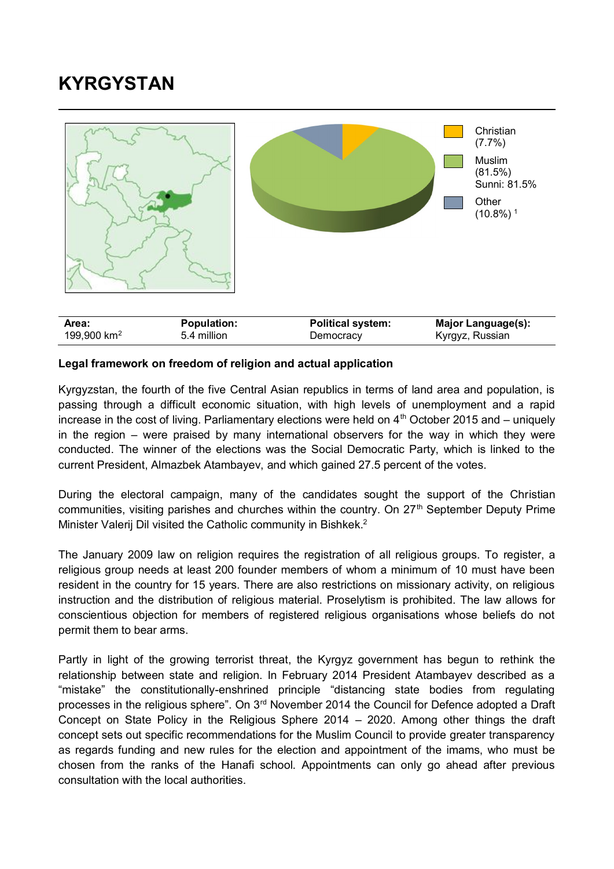## **KYRGYSTAN**



## **Legal framework on freedom of religion and actual application**

Kyrgyzstan, the fourth of the five Central Asian republics in terms of land area and population, is passing through a difficult economic situation, with high levels of unemployment and a rapid increase in the cost of living. Parliamentary elections were held on  $4<sup>th</sup>$  October 2015 and – uniquely in the region – were praised by many international observers for the way in which they were conducted. The winner of the elections was the Social Democratic Party, which is linked to the current President, Almazbek Atambayev, and which gained 27.5 percent of the votes.

During the electoral campaign, many of the candidates sought the support of the Christian communities, visiting parishes and churches within the country. On  $27<sup>th</sup>$  September Deputy Prime Minister Valerij Dil visited the Catholic community in Bishkek. 2

The January 2009 law on religion requires the registration of all religious groups. To register, a religious group needs at least 200 founder members of whom a minimum of 10 must have been resident in the country for 15 years. There are also restrictions on missionary activity, on religious instruction and the distribution of religious material. Proselytism is prohibited. The law allows for conscientious objection for members of registered religious organisations whose beliefs do not permit them to bear arms.

Partly in light of the growing terrorist threat, the Kyrgyz government has begun to rethink the relationship between state and religion. In February 2014 President Atambayev described as a "mistake" the constitutionally-enshrined principle "distancing state bodies from regulating processes in the religious sphere". On 3rd November 2014 the Council for Defence adopted a Draft Concept on State Policy in the Religious Sphere 2014 – 2020. Among other things the draft concept sets out specific recommendations for the Muslim Council to provide greater transparency as regards funding and new rules for the election and appointment of the imams, who must be chosen from the ranks of the Hanafi school. Appointments can only go ahead after previous consultation with the local authorities.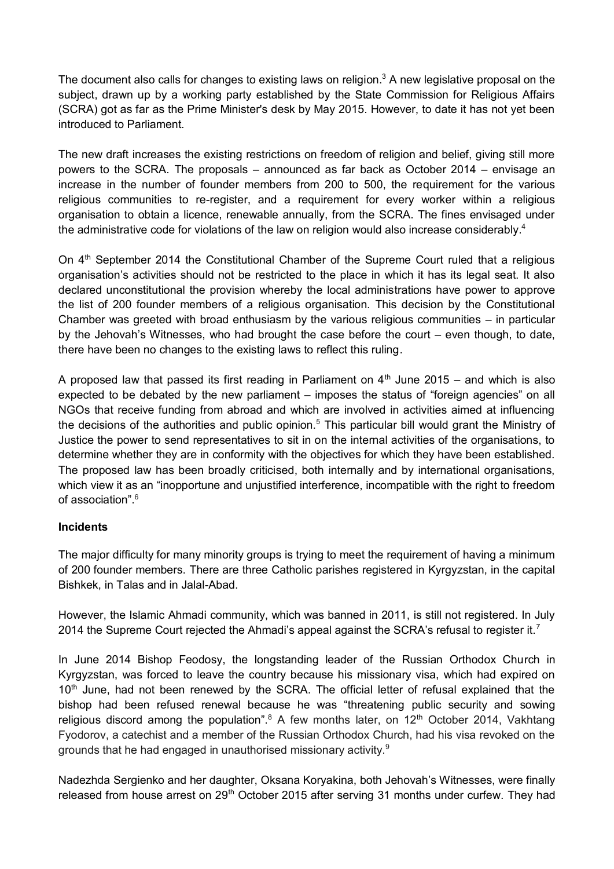The document also calls for changes to existing laws on religion. $3$  A new legislative proposal on the subject, drawn up by a working party established by the State Commission for Religious Affairs (SCRA) got as far as the Prime Minister's desk by May 2015. However, to date it has not yet been introduced to Parliament.

The new draft increases the existing restrictions on freedom of religion and belief, giving still more powers to the SCRA. The proposals – announced as far back as October 2014 – envisage an increase in the number of founder members from 200 to 500, the requirement for the various religious communities to re-register, and a requirement for every worker within a religious organisation to obtain a licence, renewable annually, from the SCRA. The fines envisaged under the administrative code for violations of the law on religion would also increase considerably.<sup>4</sup>

On 4<sup>th</sup> September 2014 the Constitutional Chamber of the Supreme Court ruled that a religious organisation's activities should not be restricted to the place in which it has its legal seat. It also declared unconstitutional the provision whereby the local administrations have power to approve the list of 200 founder members of a religious organisation. This decision by the Constitutional Chamber was greeted with broad enthusiasm by the various religious communities – in particular by the Jehovah's Witnesses, who had brought the case before the court – even though, to date, there have been no changes to the existing laws to reflect this ruling.

A proposed law that passed its first reading in Parliament on  $4<sup>th</sup>$  June 2015 – and which is also expected to be debated by the new parliament – imposes the status of "foreign agencies" on all NGOs that receive funding from abroad and which are involved in activities aimed at influencing the decisions of the authorities and public opinion.<sup>5</sup> This particular bill would grant the Ministry of Justice the power to send representatives to sit in on the internal activities of the organisations, to determine whether they are in conformity with the objectives for which they have been established. The proposed law has been broadly criticised, both internally and by international organisations, which view it as an "inopportune and unjustified interference, incompatible with the right to freedom of association".<sup>6</sup>

## **Incidents**

The major difficulty for many minority groups is trying to meet the requirement of having a minimum of 200 founder members. There are three Catholic parishes registered in Kyrgyzstan, in the capital Bishkek, in Talas and in Jalal-Abad.

However, the Islamic Ahmadi community, which was banned in 2011, is still not registered. In July 2014 the Supreme Court rejected the Ahmadi's appeal against the SCRA's refusal to register it.<sup>7</sup>

In June 2014 Bishop Feodosy, the longstanding leader of the Russian Orthodox Church in Kyrgyzstan, was forced to leave the country because his missionary visa, which had expired on 10<sup>th</sup> June, had not been renewed by the SCRA. The official letter of refusal explained that the bishop had been refused renewal because he was "threatening public security and sowing religious discord among the population".<sup>8</sup> A few months later, on  $12<sup>th</sup>$  October 2014, Vakhtang Fyodorov, a catechist and a member of the Russian Orthodox Church, had his visa revoked on the grounds that he had engaged in unauthorised missionary activity.<sup>9</sup>

Nadezhda Sergienko and her daughter, Oksana Koryakina, both Jehovah's Witnesses, were finally released from house arrest on 29<sup>th</sup> October 2015 after serving 31 months under curfew. They had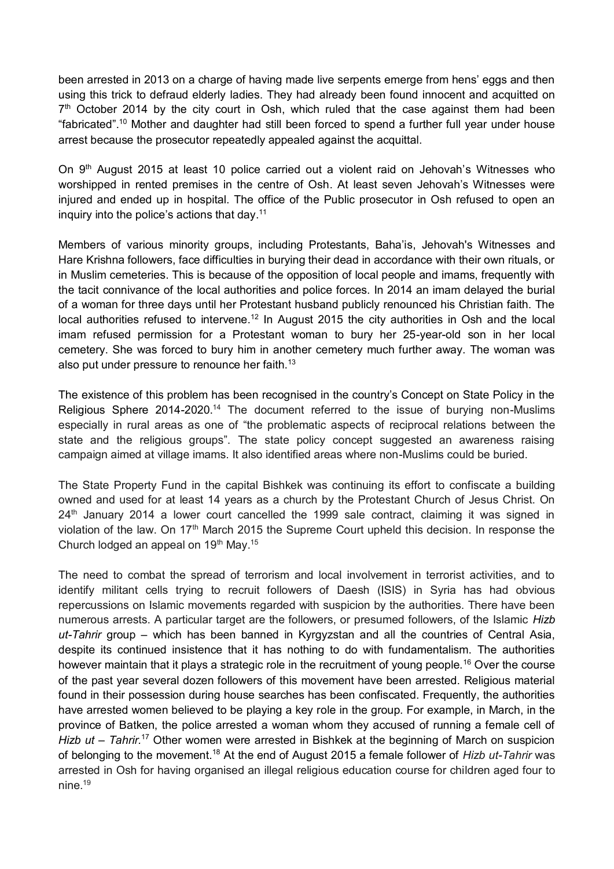been arrested in 2013 on a charge of having made live serpents emerge from hens' eggs and then using this trick to defraud elderly ladies. They had already been found innocent and acquitted on 7<sup>th</sup> October 2014 by the city court in Osh, which ruled that the case against them had been "fabricated". <sup>10</sup> Mother and daughter had still been forced to spend a further full year under house arrest because the prosecutor repeatedly appealed against the acquittal.

On 9<sup>th</sup> August 2015 at least 10 police carried out a violent raid on Jehovah's Witnesses who worshipped in rented premises in the centre of Osh. At least seven Jehovah's Witnesses were injured and ended up in hospital. The office of the Public prosecutor in Osh refused to open an inquiry into the police's actions that day.<sup>11</sup>

Members of various minority groups, including Protestants, Baha'is, Jehovah's Witnesses and Hare Krishna followers, face difficulties in burying their dead in accordance with their own rituals, or in Muslim cemeteries. This is because of the opposition of local people and imams, frequently with the tacit connivance of the local authorities and police forces. In 2014 an imam delayed the burial of a woman for three days until her Protestant husband publicly renounced his Christian faith. The local authorities refused to intervene.<sup>12</sup> In August 2015 the city authorities in Osh and the local imam refused permission for a Protestant woman to bury her 25-year-old son in her local cemetery. She was forced to bury him in another cemetery much further away. The woman was also put under pressure to renounce her faith.<sup>13</sup>

The existence of this problem has been recognised in the country's Concept on State Policy in the Religious Sphere 2014-2020.<sup>14</sup> The document referred to the issue of burying non-Muslims especially in rural areas as one of "the problematic aspects of reciprocal relations between the state and the religious groups". The state policy concept suggested an awareness raising campaign aimed at village imams. It also identified areas where non-Muslims could be buried.

The State Property Fund in the capital Bishkek was continuing its effort to confiscate a building owned and used for at least 14 years as a church by the Protestant Church of Jesus Christ. On  $24<sup>th</sup>$  January 2014 a lower court cancelled the 1999 sale contract, claiming it was signed in violation of the law. On 17<sup>th</sup> March 2015 the Supreme Court upheld this decision. In response the Church lodged an appeal on  $19<sup>th</sup>$  May.<sup>15</sup>

The need to combat the spread of terrorism and local involvement in terrorist activities, and to identify militant cells trying to recruit followers of Daesh (ISIS) in Syria has had obvious repercussions on Islamic movements regarded with suspicion by the authorities. There have been numerous arrests. A particular target are the followers, or presumed followers, of the Islamic *Hizb ut-Tahrir* group – which has been banned in Kyrgyzstan and all the countries of Central Asia, despite its continued insistence that it has nothing to do with fundamentalism. The authorities however maintain that it plays a strategic role in the recruitment of young people.<sup>16</sup> Over the course of the past year several dozen followers of this movement have been arrested. Religious material found in their possession during house searches has been confiscated. Frequently, the authorities have arrested women believed to be playing a key role in the group. For example, in March, in the province of Batken, the police arrested a woman whom they accused of running a female cell of *Hizb ut – Tahrir.*<sup>17</sup> Other women were arrested in Bishkek at the beginning of March on suspicion of belonging to the movement.<sup>18</sup> At the end of August 2015 a female follower of *Hizb ut-Tahrir* was arrested in Osh for having organised an illegal religious education course for children aged four to nine.19